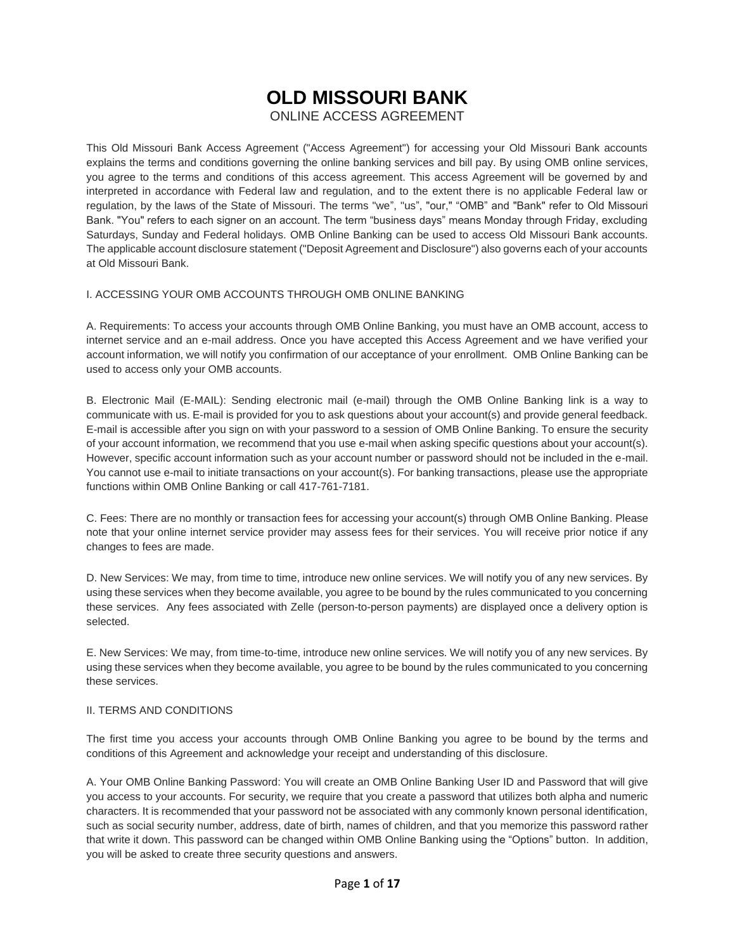# **OLD MISSOURI BANK**

ONLINE ACCESS AGREEMENT

This Old Missouri Bank Access Agreement ("Access Agreement") for accessing your Old Missouri Bank accounts explains the terms and conditions governing the online banking services and bill pay. By using OMB online services, you agree to the terms and conditions of this access agreement. This access Agreement will be governed by and interpreted in accordance with Federal law and regulation, and to the extent there is no applicable Federal law or regulation, by the laws of the State of Missouri. The terms "we", "us", "our," "OMB" and "Bank" refer to Old Missouri Bank. "You" refers to each signer on an account. The term "business days" means Monday through Friday, excluding Saturdays, Sunday and Federal holidays. OMB Online Banking can be used to access Old Missouri Bank accounts. The applicable account disclosure statement ("Deposit Agreement and Disclosure") also governs each of your accounts at Old Missouri Bank.

### I. ACCESSING YOUR OMB ACCOUNTS THROUGH OMB ONLINE BANKING

A. Requirements: To access your accounts through OMB Online Banking, you must have an OMB account, access to internet service and an e-mail address. Once you have accepted this Access Agreement and we have verified your account information, we will notify you confirmation of our acceptance of your enrollment. OMB Online Banking can be used to access only your OMB accounts.

B. Electronic Mail (E-MAIL): Sending electronic mail (e-mail) through the OMB Online Banking link is a way to communicate with us. E-mail is provided for you to ask questions about your account(s) and provide general feedback. E-mail is accessible after you sign on with your password to a session of OMB Online Banking. To ensure the security of your account information, we recommend that you use e-mail when asking specific questions about your account(s). However, specific account information such as your account number or password should not be included in the e-mail. You cannot use e-mail to initiate transactions on your account(s). For banking transactions, please use the appropriate functions within OMB Online Banking or call 417-761-7181.

C. Fees: There are no monthly or transaction fees for accessing your account(s) through OMB Online Banking. Please note that your online internet service provider may assess fees for their services. You will receive prior notice if any changes to fees are made.

D. New Services: We may, from time to time, introduce new online services. We will notify you of any new services. By using these services when they become available, you agree to be bound by the rules communicated to you concerning these services. Any fees associated with Zelle (person-to-person payments) are displayed once a delivery option is selected.

E. New Services: We may, from time-to-time, introduce new online services. We will notify you of any new services. By using these services when they become available, you agree to be bound by the rules communicated to you concerning these services.

### II. TERMS AND CONDITIONS

The first time you access your accounts through OMB Online Banking you agree to be bound by the terms and conditions of this Agreement and acknowledge your receipt and understanding of this disclosure.

A. Your OMB Online Banking Password: You will create an OMB Online Banking User ID and Password that will give you access to your accounts. For security, we require that you create a password that utilizes both alpha and numeric characters. It is recommended that your password not be associated with any commonly known personal identification, such as social security number, address, date of birth, names of children, and that you memorize this password rather that write it down. This password can be changed within OMB Online Banking using the "Options" button. In addition, you will be asked to create three security questions and answers.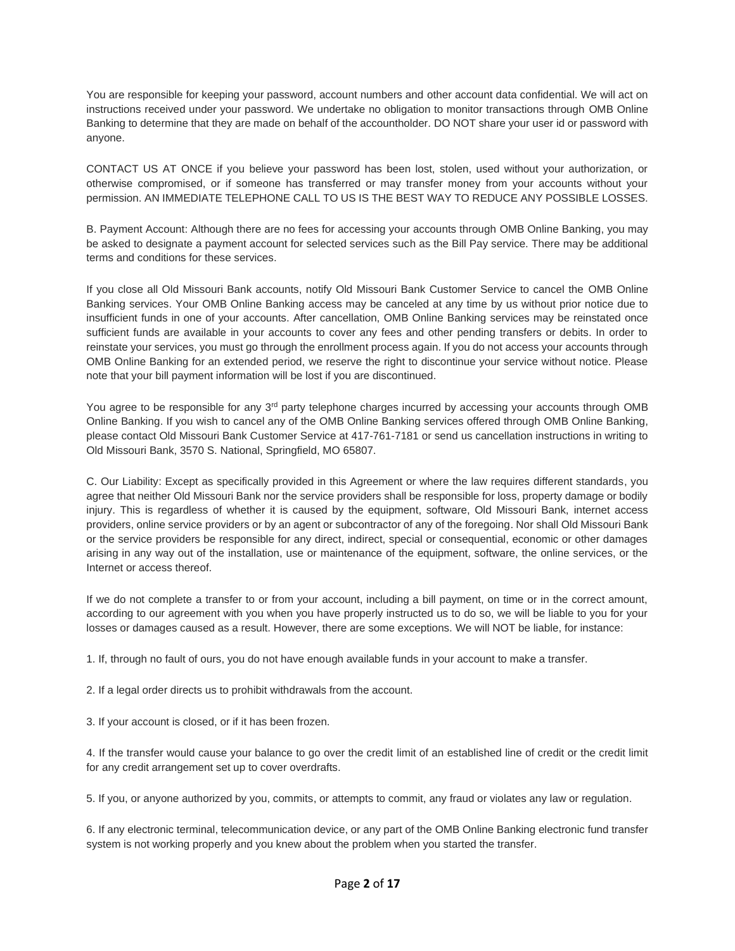You are responsible for keeping your password, account numbers and other account data confidential. We will act on instructions received under your password. We undertake no obligation to monitor transactions through OMB Online Banking to determine that they are made on behalf of the accountholder. DO NOT share your user id or password with anyone.

CONTACT US AT ONCE if you believe your password has been lost, stolen, used without your authorization, or otherwise compromised, or if someone has transferred or may transfer money from your accounts without your permission. AN IMMEDIATE TELEPHONE CALL TO US IS THE BEST WAY TO REDUCE ANY POSSIBLE LOSSES.

B. Payment Account: Although there are no fees for accessing your accounts through OMB Online Banking, you may be asked to designate a payment account for selected services such as the Bill Pay service. There may be additional terms and conditions for these services.

If you close all Old Missouri Bank accounts, notify Old Missouri Bank Customer Service to cancel the OMB Online Banking services. Your OMB Online Banking access may be canceled at any time by us without prior notice due to insufficient funds in one of your accounts. After cancellation, OMB Online Banking services may be reinstated once sufficient funds are available in your accounts to cover any fees and other pending transfers or debits. In order to reinstate your services, you must go through the enrollment process again. If you do not access your accounts through OMB Online Banking for an extended period, we reserve the right to discontinue your service without notice. Please note that your bill payment information will be lost if you are discontinued.

You agree to be responsible for any 3<sup>rd</sup> party telephone charges incurred by accessing your accounts through OMB Online Banking. If you wish to cancel any of the OMB Online Banking services offered through OMB Online Banking, please contact Old Missouri Bank Customer Service at 417-761-7181 or send us cancellation instructions in writing to Old Missouri Bank, 3570 S. National, Springfield, MO 65807.

C. Our Liability: Except as specifically provided in this Agreement or where the law requires different standards, you agree that neither Old Missouri Bank nor the service providers shall be responsible for loss, property damage or bodily injury. This is regardless of whether it is caused by the equipment, software, Old Missouri Bank, internet access providers, online service providers or by an agent or subcontractor of any of the foregoing. Nor shall Old Missouri Bank or the service providers be responsible for any direct, indirect, special or consequential, economic or other damages arising in any way out of the installation, use or maintenance of the equipment, software, the online services, or the Internet or access thereof.

If we do not complete a transfer to or from your account, including a bill payment, on time or in the correct amount, according to our agreement with you when you have properly instructed us to do so, we will be liable to you for your losses or damages caused as a result. However, there are some exceptions. We will NOT be liable, for instance:

1. If, through no fault of ours, you do not have enough available funds in your account to make a transfer.

2. If a legal order directs us to prohibit withdrawals from the account.

3. If your account is closed, or if it has been frozen.

4. If the transfer would cause your balance to go over the credit limit of an established line of credit or the credit limit for any credit arrangement set up to cover overdrafts.

5. If you, or anyone authorized by you, commits, or attempts to commit, any fraud or violates any law or regulation.

6. If any electronic terminal, telecommunication device, or any part of the OMB Online Banking electronic fund transfer system is not working properly and you knew about the problem when you started the transfer.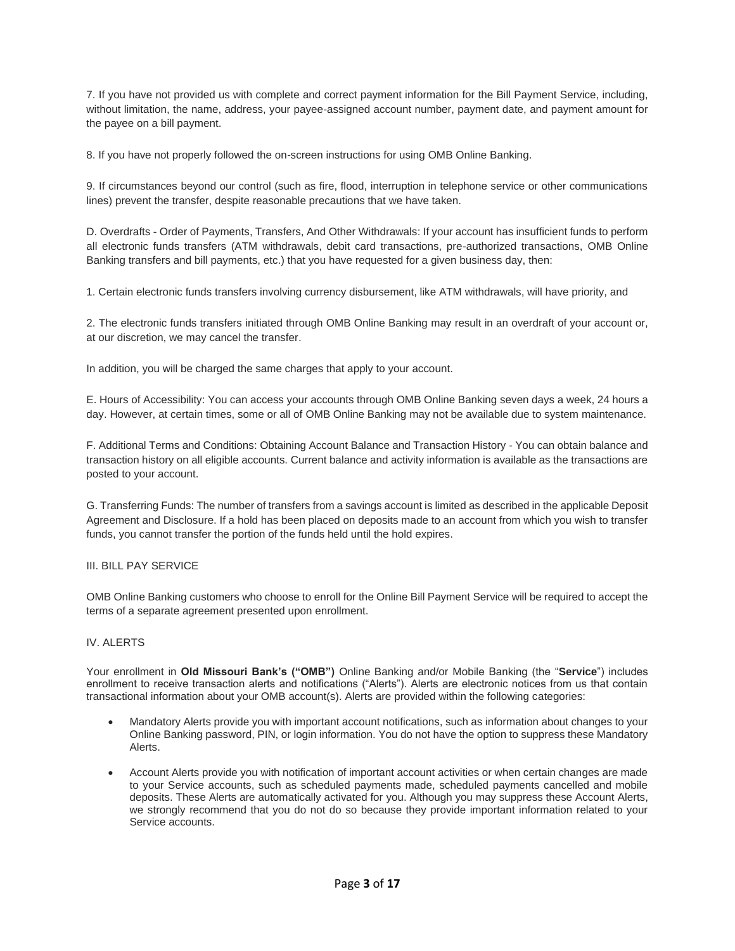7. If you have not provided us with complete and correct payment information for the Bill Payment Service, including, without limitation, the name, address, your payee-assigned account number, payment date, and payment amount for the payee on a bill payment.

8. If you have not properly followed the on-screen instructions for using OMB Online Banking.

9. If circumstances beyond our control (such as fire, flood, interruption in telephone service or other communications lines) prevent the transfer, despite reasonable precautions that we have taken.

D. Overdrafts - Order of Payments, Transfers, And Other Withdrawals: If your account has insufficient funds to perform all electronic funds transfers (ATM withdrawals, debit card transactions, pre-authorized transactions, OMB Online Banking transfers and bill payments, etc.) that you have requested for a given business day, then:

1. Certain electronic funds transfers involving currency disbursement, like ATM withdrawals, will have priority, and

2. The electronic funds transfers initiated through OMB Online Banking may result in an overdraft of your account or, at our discretion, we may cancel the transfer.

In addition, you will be charged the same charges that apply to your account.

E. Hours of Accessibility: You can access your accounts through OMB Online Banking seven days a week, 24 hours a day. However, at certain times, some or all of OMB Online Banking may not be available due to system maintenance.

F. Additional Terms and Conditions: Obtaining Account Balance and Transaction History - You can obtain balance and transaction history on all eligible accounts. Current balance and activity information is available as the transactions are posted to your account.

G. Transferring Funds: The number of transfers from a savings account is limited as described in the applicable Deposit Agreement and Disclosure. If a hold has been placed on deposits made to an account from which you wish to transfer funds, you cannot transfer the portion of the funds held until the hold expires.

### III. BILL PAY SERVICE

OMB Online Banking customers who choose to enroll for the Online Bill Payment Service will be required to accept the terms of a separate agreement presented upon enrollment.

### IV. ALERTS

Your enrollment in **Old Missouri Bank's ("OMB")** Online Banking and/or Mobile Banking (the "**Service**") includes enrollment to receive transaction alerts and notifications ("Alerts"). Alerts are electronic notices from us that contain transactional information about your OMB account(s). Alerts are provided within the following categories:

- Mandatory Alerts provide you with important account notifications, such as information about changes to your Online Banking password, PIN, or login information. You do not have the option to suppress these Mandatory Alerts.
- Account Alerts provide you with notification of important account activities or when certain changes are made to your Service accounts, such as scheduled payments made, scheduled payments cancelled and mobile deposits. These Alerts are automatically activated for you. Although you may suppress these Account Alerts, we strongly recommend that you do not do so because they provide important information related to your Service accounts.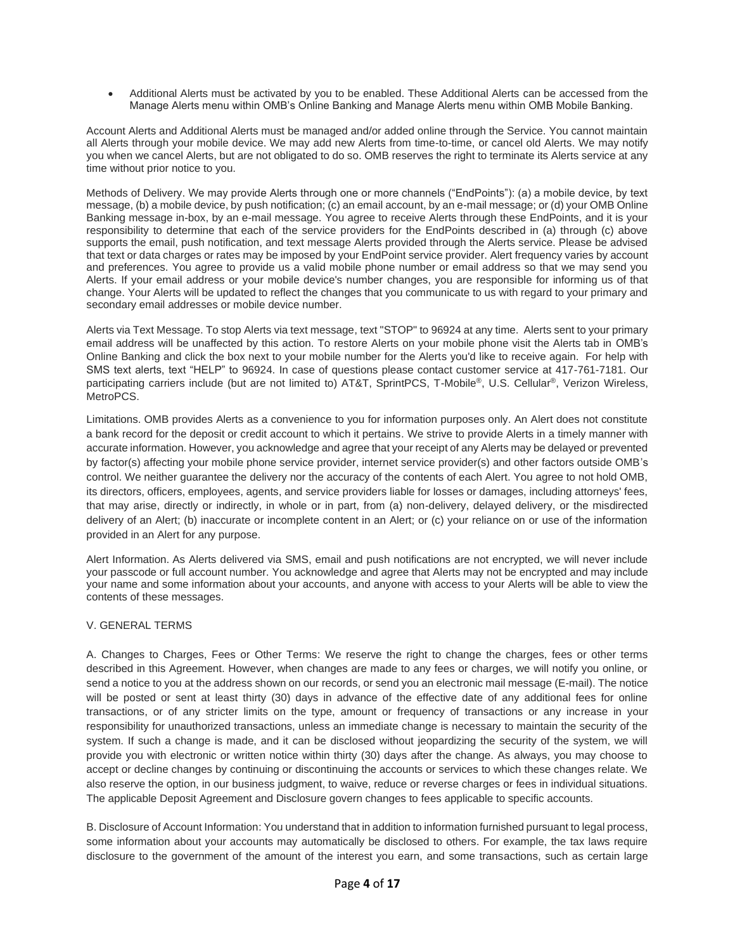• Additional Alerts must be activated by you to be enabled. These Additional Alerts can be accessed from the Manage Alerts menu within OMB's Online Banking and Manage Alerts menu within OMB Mobile Banking.

Account Alerts and Additional Alerts must be managed and/or added online through the Service. You cannot maintain all Alerts through your mobile device. We may add new Alerts from time-to-time, or cancel old Alerts. We may notify you when we cancel Alerts, but are not obligated to do so. OMB reserves the right to terminate its Alerts service at any time without prior notice to you.

Methods of Delivery. We may provide Alerts through one or more channels ("EndPoints"): (a) a mobile device, by text message, (b) a mobile device, by push notification; (c) an email account, by an e-mail message; or (d) your OMB Online Banking message in-box, by an e-mail message. You agree to receive Alerts through these EndPoints, and it is your responsibility to determine that each of the service providers for the EndPoints described in (a) through (c) above supports the email, push notification, and text message Alerts provided through the Alerts service. Please be advised that text or data charges or rates may be imposed by your EndPoint service provider. Alert frequency varies by account and preferences. You agree to provide us a valid mobile phone number or email address so that we may send you Alerts. If your email address or your mobile device's number changes, you are responsible for informing us of that change. Your Alerts will be updated to reflect the changes that you communicate to us with regard to your primary and secondary email addresses or mobile device number.

Alerts via Text Message. To stop Alerts via text message, text "STOP" to 96924 at any time. Alerts sent to your primary email address will be unaffected by this action. To restore Alerts on your mobile phone visit the Alerts tab in OMB's Online Banking and click the box next to your mobile number for the Alerts you'd like to receive again. For help with SMS text alerts, text "HELP" to 96924. In case of questions please contact customer service at 417-761-7181. Our participating carriers include (but are not limited to) AT&T, SprintPCS, T-Mobile®, U.S. Cellular®, Verizon Wireless, MetroPCS.

Limitations. OMB provides Alerts as a convenience to you for information purposes only. An Alert does not constitute a bank record for the deposit or credit account to which it pertains. We strive to provide Alerts in a timely manner with accurate information. However, you acknowledge and agree that your receipt of any Alerts may be delayed or prevented by factor(s) affecting your mobile phone service provider, internet service provider(s) and other factors outside OMB's control. We neither guarantee the delivery nor the accuracy of the contents of each Alert. You agree to not hold OMB, its directors, officers, employees, agents, and service providers liable for losses or damages, including attorneys' fees, that may arise, directly or indirectly, in whole or in part, from (a) non-delivery, delayed delivery, or the misdirected delivery of an Alert; (b) inaccurate or incomplete content in an Alert; or (c) your reliance on or use of the information provided in an Alert for any purpose.

Alert Information. As Alerts delivered via SMS, email and push notifications are not encrypted, we will never include your passcode or full account number. You acknowledge and agree that Alerts may not be encrypted and may include your name and some information about your accounts, and anyone with access to your Alerts will be able to view the contents of these messages.

### V. GENERAL TERMS

A. Changes to Charges, Fees or Other Terms: We reserve the right to change the charges, fees or other terms described in this Agreement. However, when changes are made to any fees or charges, we will notify you online, or send a notice to you at the address shown on our records, or send you an electronic mail message (E-mail). The notice will be posted or sent at least thirty (30) days in advance of the effective date of any additional fees for online transactions, or of any stricter limits on the type, amount or frequency of transactions or any increase in your responsibility for unauthorized transactions, unless an immediate change is necessary to maintain the security of the system. If such a change is made, and it can be disclosed without jeopardizing the security of the system, we will provide you with electronic or written notice within thirty (30) days after the change. As always, you may choose to accept or decline changes by continuing or discontinuing the accounts or services to which these changes relate. We also reserve the option, in our business judgment, to waive, reduce or reverse charges or fees in individual situations. The applicable Deposit Agreement and Disclosure govern changes to fees applicable to specific accounts.

B. Disclosure of Account Information: You understand that in addition to information furnished pursuant to legal process, some information about your accounts may automatically be disclosed to others. For example, the tax laws require disclosure to the government of the amount of the interest you earn, and some transactions, such as certain large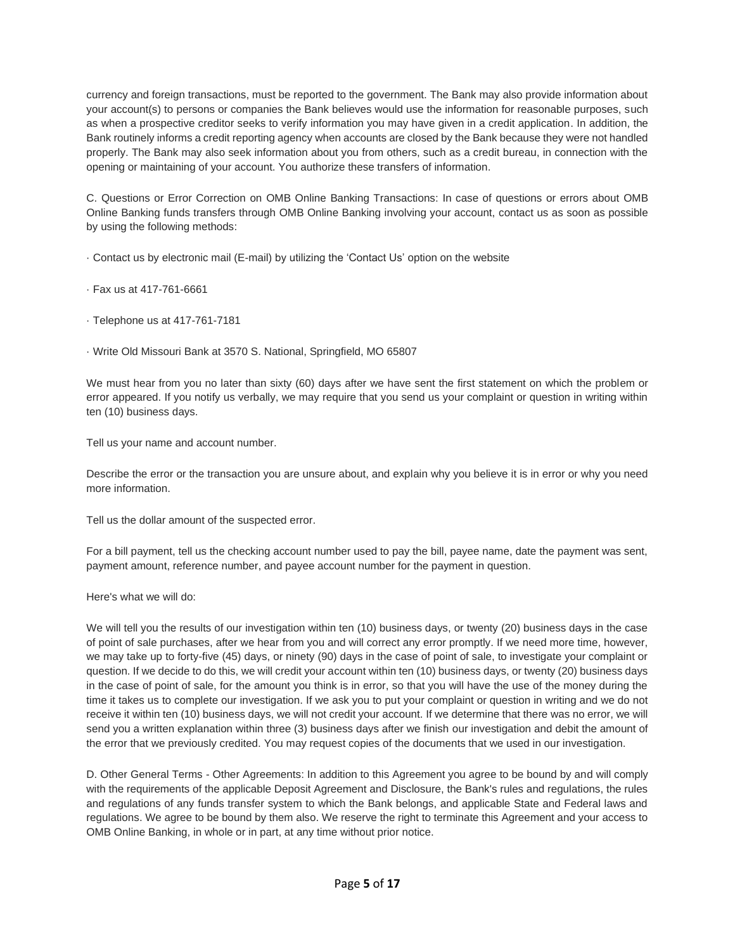currency and foreign transactions, must be reported to the government. The Bank may also provide information about your account(s) to persons or companies the Bank believes would use the information for reasonable purposes, such as when a prospective creditor seeks to verify information you may have given in a credit application. In addition, the Bank routinely informs a credit reporting agency when accounts are closed by the Bank because they were not handled properly. The Bank may also seek information about you from others, such as a credit bureau, in connection with the opening or maintaining of your account. You authorize these transfers of information.

C. Questions or Error Correction on OMB Online Banking Transactions: In case of questions or errors about OMB Online Banking funds transfers through OMB Online Banking involving your account, contact us as soon as possible by using the following methods:

· Contact us by electronic mail (E-mail) by utilizing the 'Contact Us' option on the website

· Fax us at 417-761-6661

· Telephone us at 417-761-7181

· Write Old Missouri Bank at 3570 S. National, Springfield, MO 65807

We must hear from you no later than sixty (60) days after we have sent the first statement on which the problem or error appeared. If you notify us verbally, we may require that you send us your complaint or question in writing within ten (10) business days.

Tell us your name and account number.

Describe the error or the transaction you are unsure about, and explain why you believe it is in error or why you need more information.

Tell us the dollar amount of the suspected error.

For a bill payment, tell us the checking account number used to pay the bill, payee name, date the payment was sent, payment amount, reference number, and payee account number for the payment in question.

Here's what we will do:

We will tell you the results of our investigation within ten (10) business days, or twenty (20) business days in the case of point of sale purchases, after we hear from you and will correct any error promptly. If we need more time, however, we may take up to forty-five (45) days, or ninety (90) days in the case of point of sale, to investigate your complaint or question. If we decide to do this, we will credit your account within ten (10) business days, or twenty (20) business days in the case of point of sale, for the amount you think is in error, so that you will have the use of the money during the time it takes us to complete our investigation. If we ask you to put your complaint or question in writing and we do not receive it within ten (10) business days, we will not credit your account. If we determine that there was no error, we will send you a written explanation within three (3) business days after we finish our investigation and debit the amount of the error that we previously credited. You may request copies of the documents that we used in our investigation.

D. Other General Terms - Other Agreements: In addition to this Agreement you agree to be bound by and will comply with the requirements of the applicable Deposit Agreement and Disclosure, the Bank's rules and regulations, the rules and regulations of any funds transfer system to which the Bank belongs, and applicable State and Federal laws and regulations. We agree to be bound by them also. We reserve the right to terminate this Agreement and your access to OMB Online Banking, in whole or in part, at any time without prior notice.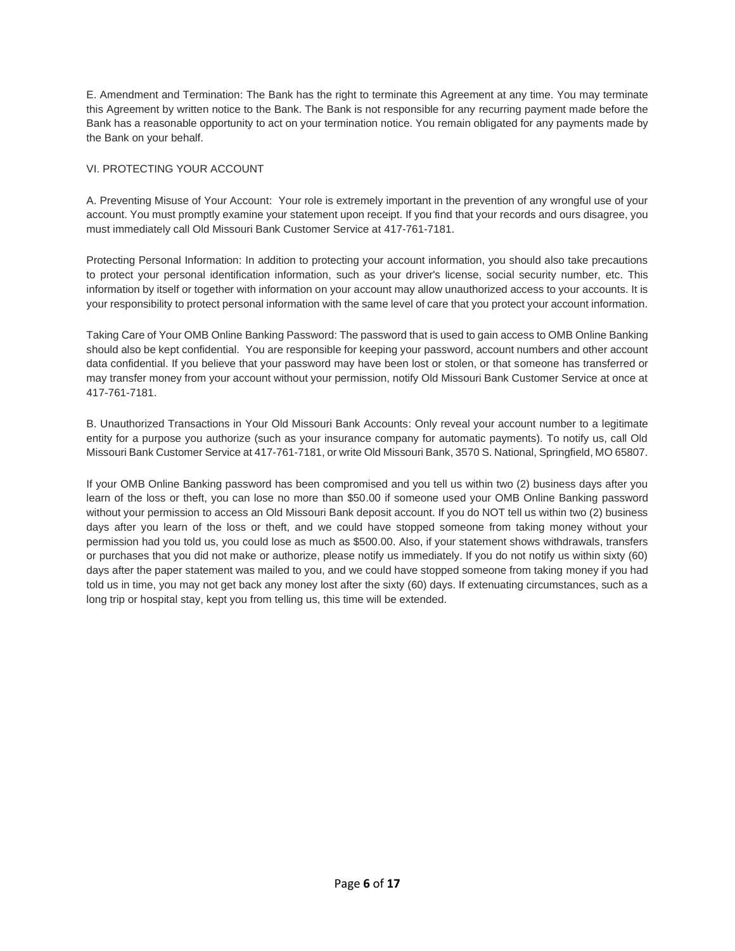E. Amendment and Termination: The Bank has the right to terminate this Agreement at any time. You may terminate this Agreement by written notice to the Bank. The Bank is not responsible for any recurring payment made before the Bank has a reasonable opportunity to act on your termination notice. You remain obligated for any payments made by the Bank on your behalf.

### VI. PROTECTING YOUR ACCOUNT

A. Preventing Misuse of Your Account: Your role is extremely important in the prevention of any wrongful use of your account. You must promptly examine your statement upon receipt. If you find that your records and ours disagree, you must immediately call Old Missouri Bank Customer Service at 417-761-7181.

Protecting Personal Information: In addition to protecting your account information, you should also take precautions to protect your personal identification information, such as your driver's license, social security number, etc. This information by itself or together with information on your account may allow unauthorized access to your accounts. It is your responsibility to protect personal information with the same level of care that you protect your account information.

Taking Care of Your OMB Online Banking Password: The password that is used to gain access to OMB Online Banking should also be kept confidential. You are responsible for keeping your password, account numbers and other account data confidential. If you believe that your password may have been lost or stolen, or that someone has transferred or may transfer money from your account without your permission, notify Old Missouri Bank Customer Service at once at 417-761-7181.

B. Unauthorized Transactions in Your Old Missouri Bank Accounts: Only reveal your account number to a legitimate entity for a purpose you authorize (such as your insurance company for automatic payments). To notify us, call Old Missouri Bank Customer Service at 417-761-7181, or write Old Missouri Bank, 3570 S. National, Springfield, MO 65807.

If your OMB Online Banking password has been compromised and you tell us within two (2) business days after you learn of the loss or theft, you can lose no more than \$50.00 if someone used your OMB Online Banking password without your permission to access an Old Missouri Bank deposit account. If you do NOT tell us within two (2) business days after you learn of the loss or theft, and we could have stopped someone from taking money without your permission had you told us, you could lose as much as \$500.00. Also, if your statement shows withdrawals, transfers or purchases that you did not make or authorize, please notify us immediately. If you do not notify us within sixty (60) days after the paper statement was mailed to you, and we could have stopped someone from taking money if you had told us in time, you may not get back any money lost after the sixty (60) days. If extenuating circumstances, such as a long trip or hospital stay, kept you from telling us, this time will be extended.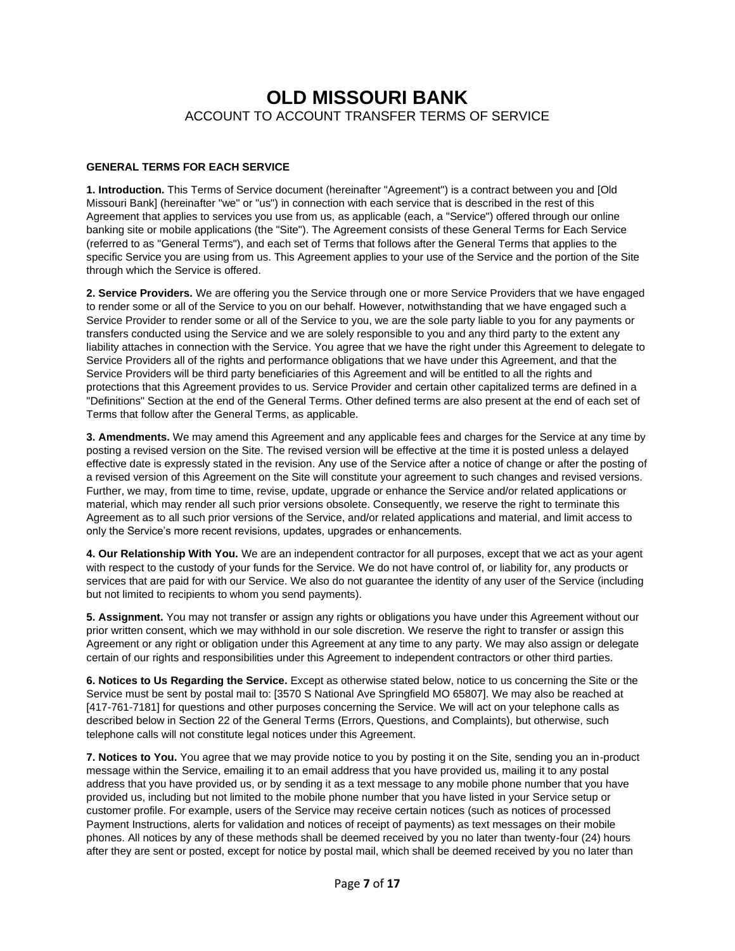## **OLD MISSOURI BANK** ACCOUNT TO ACCOUNT TRANSFER TERMS OF SERVICE

### **GENERAL TERMS FOR EACH SERVICE**

**1. Introduction.** This Terms of Service document (hereinafter "Agreement") is a contract between you and [Old Missouri Bank] (hereinafter "we" or "us") in connection with each service that is described in the rest of this Agreement that applies to services you use from us, as applicable (each, a "Service") offered through our online banking site or mobile applications (the "Site"). The Agreement consists of these General Terms for Each Service (referred to as "General Terms"), and each set of Terms that follows after the General Terms that applies to the specific Service you are using from us. This Agreement applies to your use of the Service and the portion of the Site through which the Service is offered.

**2. Service Providers.** We are offering you the Service through one or more Service Providers that we have engaged to render some or all of the Service to you on our behalf. However, notwithstanding that we have engaged such a Service Provider to render some or all of the Service to you, we are the sole party liable to you for any payments or transfers conducted using the Service and we are solely responsible to you and any third party to the extent any liability attaches in connection with the Service. You agree that we have the right under this Agreement to delegate to Service Providers all of the rights and performance obligations that we have under this Agreement, and that the Service Providers will be third party beneficiaries of this Agreement and will be entitled to all the rights and protections that this Agreement provides to us. Service Provider and certain other capitalized terms are defined in a "Definitions" Section at the end of the General Terms. Other defined terms are also present at the end of each set of Terms that follow after the General Terms, as applicable.

**3. Amendments.** We may amend this Agreement and any applicable fees and charges for the Service at any time by posting a revised version on the Site. The revised version will be effective at the time it is posted unless a delayed effective date is expressly stated in the revision. Any use of the Service after a notice of change or after the posting of a revised version of this Agreement on the Site will constitute your agreement to such changes and revised versions. Further, we may, from time to time, revise, update, upgrade or enhance the Service and/or related applications or material, which may render all such prior versions obsolete. Consequently, we reserve the right to terminate this Agreement as to all such prior versions of the Service, and/or related applications and material, and limit access to only the Service's more recent revisions, updates, upgrades or enhancements.

**4. Our Relationship With You.** We are an independent contractor for all purposes, except that we act as your agent with respect to the custody of your funds for the Service. We do not have control of, or liability for, any products or services that are paid for with our Service. We also do not guarantee the identity of any user of the Service (including but not limited to recipients to whom you send payments).

**5. Assignment.** You may not transfer or assign any rights or obligations you have under this Agreement without our prior written consent, which we may withhold in our sole discretion. We reserve the right to transfer or assign this Agreement or any right or obligation under this Agreement at any time to any party. We may also assign or delegate certain of our rights and responsibilities under this Agreement to independent contractors or other third parties.

**6. Notices to Us Regarding the Service.** Except as otherwise stated below, notice to us concerning the Site or the Service must be sent by postal mail to: [3570 S National Ave Springfield MO 65807]. We may also be reached at [417-761-7181] for questions and other purposes concerning the Service. We will act on your telephone calls as described below in Section 22 of the General Terms (Errors, Questions, and Complaints), but otherwise, such telephone calls will not constitute legal notices under this Agreement.

**7. Notices to You.** You agree that we may provide notice to you by posting it on the Site, sending you an in-product message within the Service, emailing it to an email address that you have provided us, mailing it to any postal address that you have provided us, or by sending it as a text message to any mobile phone number that you have provided us, including but not limited to the mobile phone number that you have listed in your Service setup or customer profile. For example, users of the Service may receive certain notices (such as notices of processed Payment Instructions, alerts for validation and notices of receipt of payments) as text messages on their mobile phones. All notices by any of these methods shall be deemed received by you no later than twenty-four (24) hours after they are sent or posted, except for notice by postal mail, which shall be deemed received by you no later than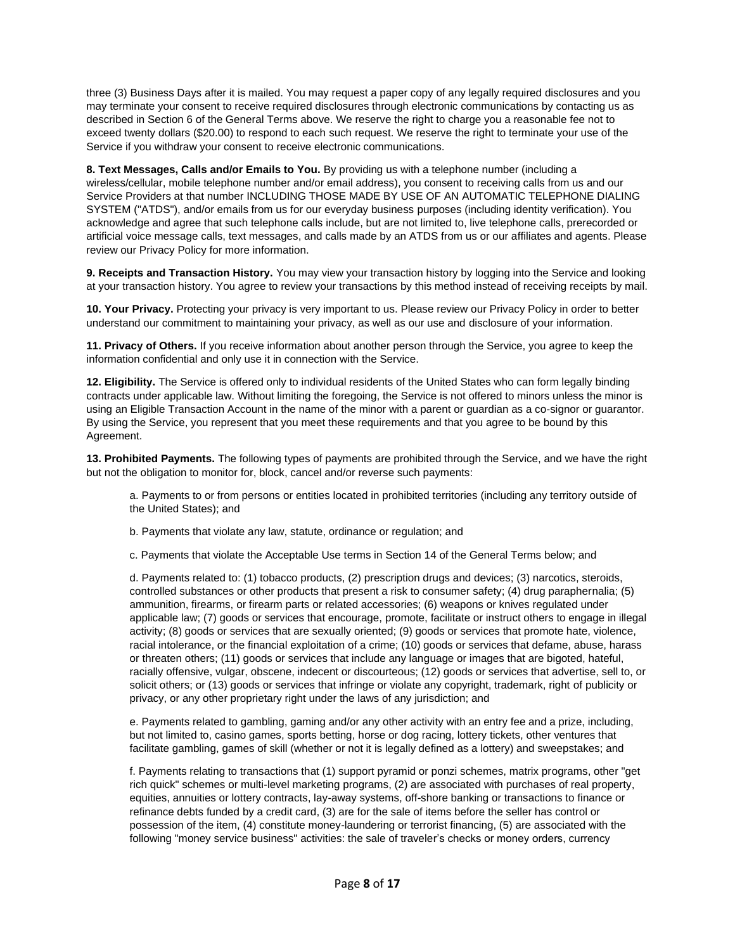three (3) Business Days after it is mailed. You may request a paper copy of any legally required disclosures and you may terminate your consent to receive required disclosures through electronic communications by contacting us as described in Section 6 of the General Terms above. We reserve the right to charge you a reasonable fee not to exceed twenty dollars (\$20.00) to respond to each such request. We reserve the right to terminate your use of the Service if you withdraw your consent to receive electronic communications.

**8. Text Messages, Calls and/or Emails to You.** By providing us with a telephone number (including a wireless/cellular, mobile telephone number and/or email address), you consent to receiving calls from us and our Service Providers at that number INCLUDING THOSE MADE BY USE OF AN AUTOMATIC TELEPHONE DIALING SYSTEM ("ATDS"), and/or emails from us for our everyday business purposes (including identity verification). You acknowledge and agree that such telephone calls include, but are not limited to, live telephone calls, prerecorded or artificial voice message calls, text messages, and calls made by an ATDS from us or our affiliates and agents. Please review our Privacy Policy for more information.

**9. Receipts and Transaction History.** You may view your transaction history by logging into the Service and looking at your transaction history. You agree to review your transactions by this method instead of receiving receipts by mail.

**10. Your Privacy.** Protecting your privacy is very important to us. Please review our Privacy Policy in order to better understand our commitment to maintaining your privacy, as well as our use and disclosure of your information.

**11. Privacy of Others.** If you receive information about another person through the Service, you agree to keep the information confidential and only use it in connection with the Service.

**12. Eligibility.** The Service is offered only to individual residents of the United States who can form legally binding contracts under applicable law. Without limiting the foregoing, the Service is not offered to minors unless the minor is using an Eligible Transaction Account in the name of the minor with a parent or guardian as a co-signor or guarantor. By using the Service, you represent that you meet these requirements and that you agree to be bound by this Agreement.

**13. Prohibited Payments.** The following types of payments are prohibited through the Service, and we have the right but not the obligation to monitor for, block, cancel and/or reverse such payments:

a. Payments to or from persons or entities located in prohibited territories (including any territory outside of the United States); and

b. Payments that violate any law, statute, ordinance or regulation; and

c. Payments that violate the Acceptable Use terms in Section 14 of the General Terms below; and

d. Payments related to: (1) tobacco products, (2) prescription drugs and devices; (3) narcotics, steroids, controlled substances or other products that present a risk to consumer safety; (4) drug paraphernalia; (5) ammunition, firearms, or firearm parts or related accessories; (6) weapons or knives regulated under applicable law; (7) goods or services that encourage, promote, facilitate or instruct others to engage in illegal activity; (8) goods or services that are sexually oriented; (9) goods or services that promote hate, violence, racial intolerance, or the financial exploitation of a crime; (10) goods or services that defame, abuse, harass or threaten others; (11) goods or services that include any language or images that are bigoted, hateful, racially offensive, vulgar, obscene, indecent or discourteous; (12) goods or services that advertise, sell to, or solicit others; or (13) goods or services that infringe or violate any copyright, trademark, right of publicity or privacy, or any other proprietary right under the laws of any jurisdiction; and

e. Payments related to gambling, gaming and/or any other activity with an entry fee and a prize, including, but not limited to, casino games, sports betting, horse or dog racing, lottery tickets, other ventures that facilitate gambling, games of skill (whether or not it is legally defined as a lottery) and sweepstakes; and

f. Payments relating to transactions that (1) support pyramid or ponzi schemes, matrix programs, other "get rich quick" schemes or multi-level marketing programs, (2) are associated with purchases of real property, equities, annuities or lottery contracts, lay-away systems, off-shore banking or transactions to finance or refinance debts funded by a credit card, (3) are for the sale of items before the seller has control or possession of the item, (4) constitute money-laundering or terrorist financing, (5) are associated with the following "money service business" activities: the sale of traveler's checks or money orders, currency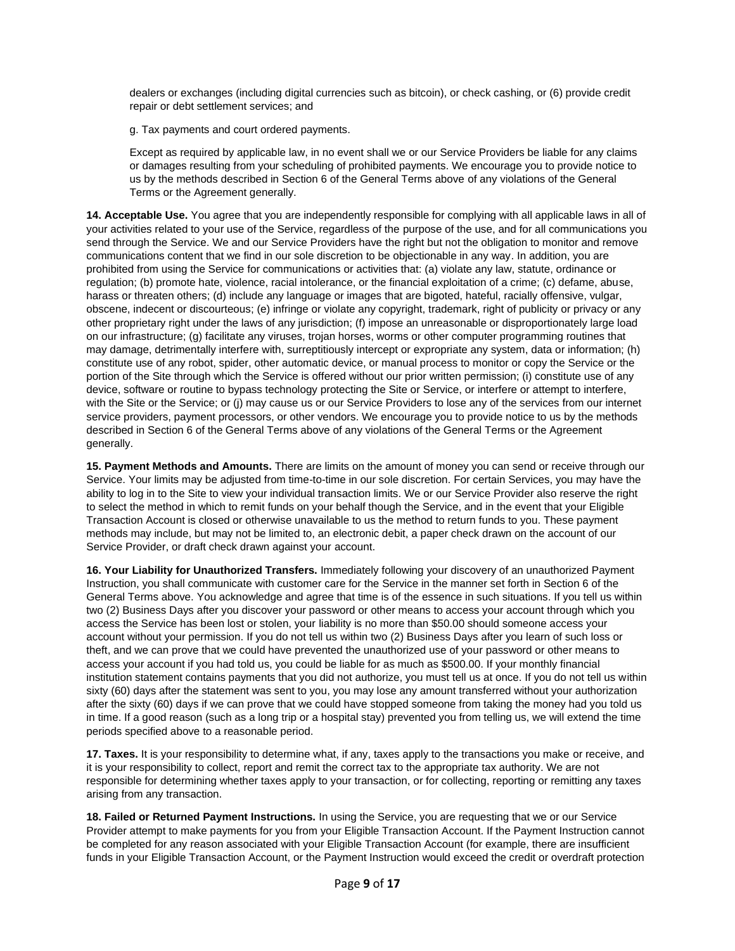dealers or exchanges (including digital currencies such as bitcoin), or check cashing, or (6) provide credit repair or debt settlement services; and

g. Tax payments and court ordered payments.

Except as required by applicable law, in no event shall we or our Service Providers be liable for any claims or damages resulting from your scheduling of prohibited payments. We encourage you to provide notice to us by the methods described in Section 6 of the General Terms above of any violations of the General Terms or the Agreement generally.

**14. Acceptable Use.** You agree that you are independently responsible for complying with all applicable laws in all of your activities related to your use of the Service, regardless of the purpose of the use, and for all communications you send through the Service. We and our Service Providers have the right but not the obligation to monitor and remove communications content that we find in our sole discretion to be objectionable in any way. In addition, you are prohibited from using the Service for communications or activities that: (a) violate any law, statute, ordinance or regulation; (b) promote hate, violence, racial intolerance, or the financial exploitation of a crime; (c) defame, abuse, harass or threaten others; (d) include any language or images that are bigoted, hateful, racially offensive, vulgar, obscene, indecent or discourteous; (e) infringe or violate any copyright, trademark, right of publicity or privacy or any other proprietary right under the laws of any jurisdiction; (f) impose an unreasonable or disproportionately large load on our infrastructure; (g) facilitate any viruses, trojan horses, worms or other computer programming routines that may damage, detrimentally interfere with, surreptitiously intercept or expropriate any system, data or information; (h) constitute use of any robot, spider, other automatic device, or manual process to monitor or copy the Service or the portion of the Site through which the Service is offered without our prior written permission; (i) constitute use of any device, software or routine to bypass technology protecting the Site or Service, or interfere or attempt to interfere, with the Site or the Service; or (j) may cause us or our Service Providers to lose any of the services from our internet service providers, payment processors, or other vendors. We encourage you to provide notice to us by the methods described in Section 6 of the General Terms above of any violations of the General Terms or the Agreement generally.

**15. Payment Methods and Amounts.** There are limits on the amount of money you can send or receive through our Service. Your limits may be adjusted from time-to-time in our sole discretion. For certain Services, you may have the ability to log in to the Site to view your individual transaction limits. We or our Service Provider also reserve the right to select the method in which to remit funds on your behalf though the Service, and in the event that your Eligible Transaction Account is closed or otherwise unavailable to us the method to return funds to you. These payment methods may include, but may not be limited to, an electronic debit, a paper check drawn on the account of our Service Provider, or draft check drawn against your account.

**16. Your Liability for Unauthorized Transfers.** Immediately following your discovery of an unauthorized Payment Instruction, you shall communicate with customer care for the Service in the manner set forth in Section 6 of the General Terms above. You acknowledge and agree that time is of the essence in such situations. If you tell us within two (2) Business Days after you discover your password or other means to access your account through which you access the Service has been lost or stolen, your liability is no more than \$50.00 should someone access your account without your permission. If you do not tell us within two (2) Business Days after you learn of such loss or theft, and we can prove that we could have prevented the unauthorized use of your password or other means to access your account if you had told us, you could be liable for as much as \$500.00. If your monthly financial institution statement contains payments that you did not authorize, you must tell us at once. If you do not tell us within sixty (60) days after the statement was sent to you, you may lose any amount transferred without your authorization after the sixty (60) days if we can prove that we could have stopped someone from taking the money had you told us in time. If a good reason (such as a long trip or a hospital stay) prevented you from telling us, we will extend the time periods specified above to a reasonable period.

**17. Taxes.** It is your responsibility to determine what, if any, taxes apply to the transactions you make or receive, and it is your responsibility to collect, report and remit the correct tax to the appropriate tax authority. We are not responsible for determining whether taxes apply to your transaction, or for collecting, reporting or remitting any taxes arising from any transaction.

**18. Failed or Returned Payment Instructions.** In using the Service, you are requesting that we or our Service Provider attempt to make payments for you from your Eligible Transaction Account. If the Payment Instruction cannot be completed for any reason associated with your Eligible Transaction Account (for example, there are insufficient funds in your Eligible Transaction Account, or the Payment Instruction would exceed the credit or overdraft protection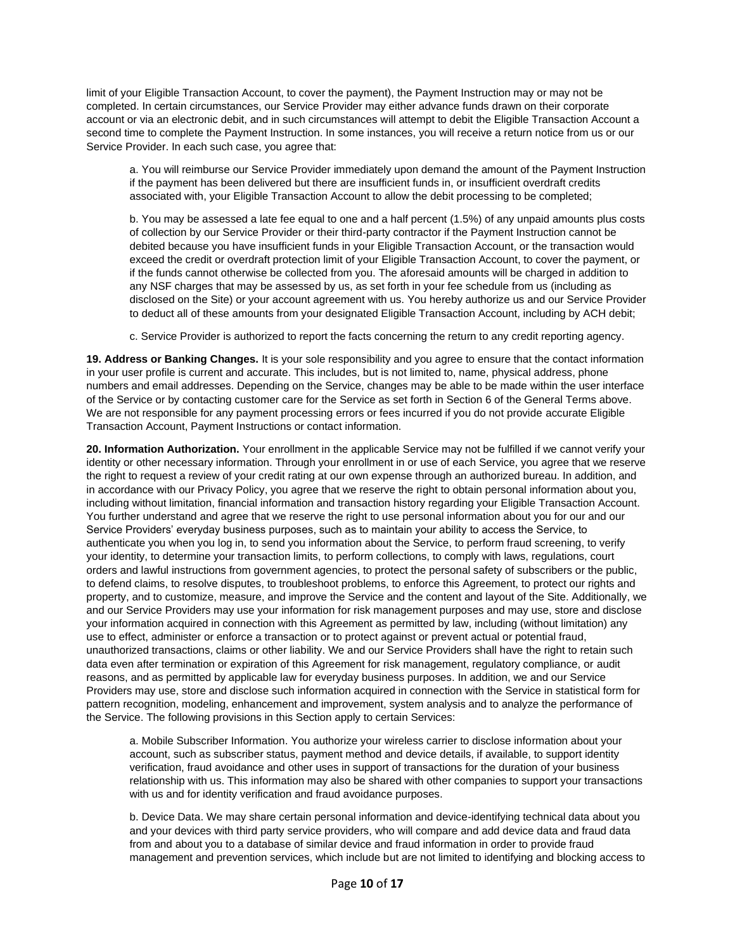limit of your Eligible Transaction Account, to cover the payment), the Payment Instruction may or may not be completed. In certain circumstances, our Service Provider may either advance funds drawn on their corporate account or via an electronic debit, and in such circumstances will attempt to debit the Eligible Transaction Account a second time to complete the Payment Instruction. In some instances, you will receive a return notice from us or our Service Provider. In each such case, you agree that:

a. You will reimburse our Service Provider immediately upon demand the amount of the Payment Instruction if the payment has been delivered but there are insufficient funds in, or insufficient overdraft credits associated with, your Eligible Transaction Account to allow the debit processing to be completed;

b. You may be assessed a late fee equal to one and a half percent (1.5%) of any unpaid amounts plus costs of collection by our Service Provider or their third-party contractor if the Payment Instruction cannot be debited because you have insufficient funds in your Eligible Transaction Account, or the transaction would exceed the credit or overdraft protection limit of your Eligible Transaction Account, to cover the payment, or if the funds cannot otherwise be collected from you. The aforesaid amounts will be charged in addition to any NSF charges that may be assessed by us, as set forth in your fee schedule from us (including as disclosed on the Site) or your account agreement with us. You hereby authorize us and our Service Provider to deduct all of these amounts from your designated Eligible Transaction Account, including by ACH debit;

c. Service Provider is authorized to report the facts concerning the return to any credit reporting agency.

**19. Address or Banking Changes.** It is your sole responsibility and you agree to ensure that the contact information in your user profile is current and accurate. This includes, but is not limited to, name, physical address, phone numbers and email addresses. Depending on the Service, changes may be able to be made within the user interface of the Service or by contacting customer care for the Service as set forth in Section 6 of the General Terms above. We are not responsible for any payment processing errors or fees incurred if you do not provide accurate Eligible Transaction Account, Payment Instructions or contact information.

**20. Information Authorization.** Your enrollment in the applicable Service may not be fulfilled if we cannot verify your identity or other necessary information. Through your enrollment in or use of each Service, you agree that we reserve the right to request a review of your credit rating at our own expense through an authorized bureau. In addition, and in accordance with our Privacy Policy, you agree that we reserve the right to obtain personal information about you, including without limitation, financial information and transaction history regarding your Eligible Transaction Account. You further understand and agree that we reserve the right to use personal information about you for our and our Service Providers' everyday business purposes, such as to maintain your ability to access the Service, to authenticate you when you log in, to send you information about the Service, to perform fraud screening, to verify your identity, to determine your transaction limits, to perform collections, to comply with laws, regulations, court orders and lawful instructions from government agencies, to protect the personal safety of subscribers or the public, to defend claims, to resolve disputes, to troubleshoot problems, to enforce this Agreement, to protect our rights and property, and to customize, measure, and improve the Service and the content and layout of the Site. Additionally, we and our Service Providers may use your information for risk management purposes and may use, store and disclose your information acquired in connection with this Agreement as permitted by law, including (without limitation) any use to effect, administer or enforce a transaction or to protect against or prevent actual or potential fraud, unauthorized transactions, claims or other liability. We and our Service Providers shall have the right to retain such data even after termination or expiration of this Agreement for risk management, regulatory compliance, or audit reasons, and as permitted by applicable law for everyday business purposes. In addition, we and our Service Providers may use, store and disclose such information acquired in connection with the Service in statistical form for pattern recognition, modeling, enhancement and improvement, system analysis and to analyze the performance of the Service. The following provisions in this Section apply to certain Services:

a. Mobile Subscriber Information. You authorize your wireless carrier to disclose information about your account, such as subscriber status, payment method and device details, if available, to support identity verification, fraud avoidance and other uses in support of transactions for the duration of your business relationship with us. This information may also be shared with other companies to support your transactions with us and for identity verification and fraud avoidance purposes.

b. Device Data. We may share certain personal information and device-identifying technical data about you and your devices with third party service providers, who will compare and add device data and fraud data from and about you to a database of similar device and fraud information in order to provide fraud management and prevention services, which include but are not limited to identifying and blocking access to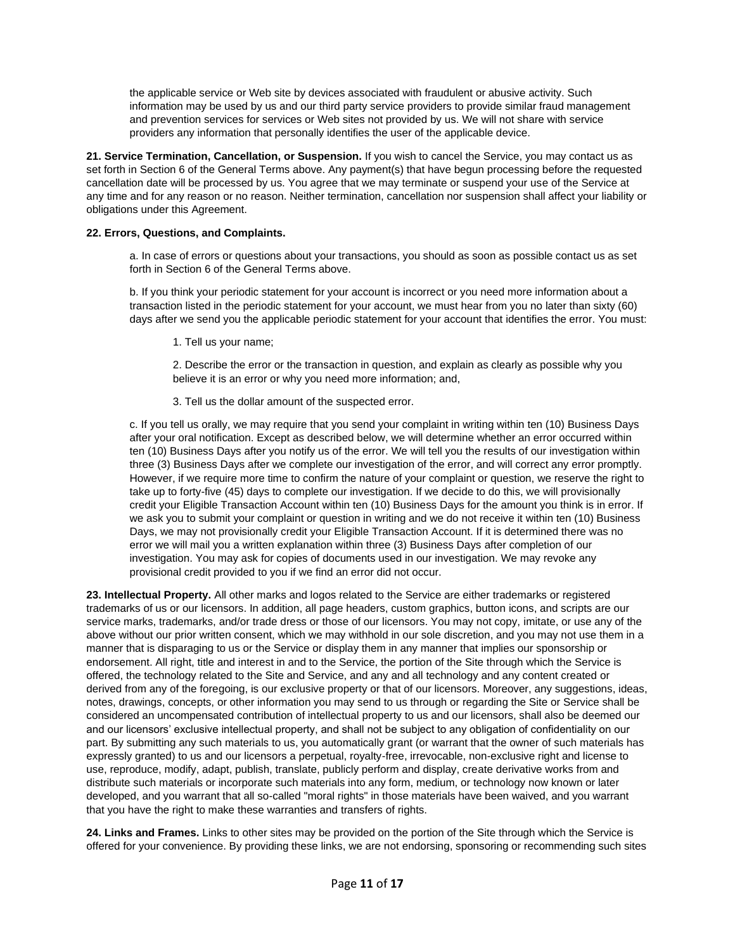the applicable service or Web site by devices associated with fraudulent or abusive activity. Such information may be used by us and our third party service providers to provide similar fraud management and prevention services for services or Web sites not provided by us. We will not share with service providers any information that personally identifies the user of the applicable device.

**21. Service Termination, Cancellation, or Suspension.** If you wish to cancel the Service, you may contact us as set forth in Section 6 of the General Terms above. Any payment(s) that have begun processing before the requested cancellation date will be processed by us. You agree that we may terminate or suspend your use of the Service at any time and for any reason or no reason. Neither termination, cancellation nor suspension shall affect your liability or obligations under this Agreement.

### **22. Errors, Questions, and Complaints.**

a. In case of errors or questions about your transactions, you should as soon as possible contact us as set forth in Section 6 of the General Terms above.

b. If you think your periodic statement for your account is incorrect or you need more information about a transaction listed in the periodic statement for your account, we must hear from you no later than sixty (60) days after we send you the applicable periodic statement for your account that identifies the error. You must:

1. Tell us your name;

2. Describe the error or the transaction in question, and explain as clearly as possible why you believe it is an error or why you need more information; and,

3. Tell us the dollar amount of the suspected error.

c. If you tell us orally, we may require that you send your complaint in writing within ten (10) Business Days after your oral notification. Except as described below, we will determine whether an error occurred within ten (10) Business Days after you notify us of the error. We will tell you the results of our investigation within three (3) Business Days after we complete our investigation of the error, and will correct any error promptly. However, if we require more time to confirm the nature of your complaint or question, we reserve the right to take up to forty-five (45) days to complete our investigation. If we decide to do this, we will provisionally credit your Eligible Transaction Account within ten (10) Business Days for the amount you think is in error. If we ask you to submit your complaint or question in writing and we do not receive it within ten (10) Business Days, we may not provisionally credit your Eligible Transaction Account. If it is determined there was no error we will mail you a written explanation within three (3) Business Days after completion of our investigation. You may ask for copies of documents used in our investigation. We may revoke any provisional credit provided to you if we find an error did not occur.

**23. Intellectual Property.** All other marks and logos related to the Service are either trademarks or registered trademarks of us or our licensors. In addition, all page headers, custom graphics, button icons, and scripts are our service marks, trademarks, and/or trade dress or those of our licensors. You may not copy, imitate, or use any of the above without our prior written consent, which we may withhold in our sole discretion, and you may not use them in a manner that is disparaging to us or the Service or display them in any manner that implies our sponsorship or endorsement. All right, title and interest in and to the Service, the portion of the Site through which the Service is offered, the technology related to the Site and Service, and any and all technology and any content created or derived from any of the foregoing, is our exclusive property or that of our licensors. Moreover, any suggestions, ideas, notes, drawings, concepts, or other information you may send to us through or regarding the Site or Service shall be considered an uncompensated contribution of intellectual property to us and our licensors, shall also be deemed our and our licensors' exclusive intellectual property, and shall not be subject to any obligation of confidentiality on our part. By submitting any such materials to us, you automatically grant (or warrant that the owner of such materials has expressly granted) to us and our licensors a perpetual, royalty-free, irrevocable, non-exclusive right and license to use, reproduce, modify, adapt, publish, translate, publicly perform and display, create derivative works from and distribute such materials or incorporate such materials into any form, medium, or technology now known or later developed, and you warrant that all so-called "moral rights" in those materials have been waived, and you warrant that you have the right to make these warranties and transfers of rights.

**24. Links and Frames.** Links to other sites may be provided on the portion of the Site through which the Service is offered for your convenience. By providing these links, we are not endorsing, sponsoring or recommending such sites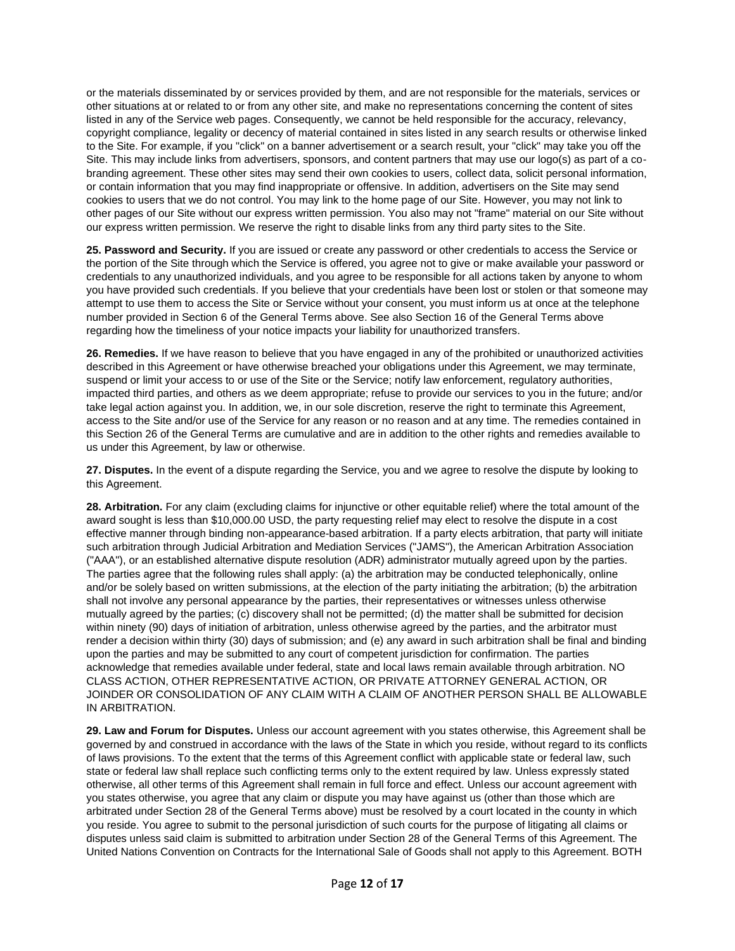or the materials disseminated by or services provided by them, and are not responsible for the materials, services or other situations at or related to or from any other site, and make no representations concerning the content of sites listed in any of the Service web pages. Consequently, we cannot be held responsible for the accuracy, relevancy, copyright compliance, legality or decency of material contained in sites listed in any search results or otherwise linked to the Site. For example, if you "click" on a banner advertisement or a search result, your "click" may take you off the Site. This may include links from advertisers, sponsors, and content partners that may use our logo(s) as part of a cobranding agreement. These other sites may send their own cookies to users, collect data, solicit personal information, or contain information that you may find inappropriate or offensive. In addition, advertisers on the Site may send cookies to users that we do not control. You may link to the home page of our Site. However, you may not link to other pages of our Site without our express written permission. You also may not "frame" material on our Site without our express written permission. We reserve the right to disable links from any third party sites to the Site.

**25. Password and Security.** If you are issued or create any password or other credentials to access the Service or the portion of the Site through which the Service is offered, you agree not to give or make available your password or credentials to any unauthorized individuals, and you agree to be responsible for all actions taken by anyone to whom you have provided such credentials. If you believe that your credentials have been lost or stolen or that someone may attempt to use them to access the Site or Service without your consent, you must inform us at once at the telephone number provided in Section 6 of the General Terms above. See also Section 16 of the General Terms above regarding how the timeliness of your notice impacts your liability for unauthorized transfers.

**26. Remedies.** If we have reason to believe that you have engaged in any of the prohibited or unauthorized activities described in this Agreement or have otherwise breached your obligations under this Agreement, we may terminate, suspend or limit your access to or use of the Site or the Service; notify law enforcement, regulatory authorities, impacted third parties, and others as we deem appropriate; refuse to provide our services to you in the future; and/or take legal action against you. In addition, we, in our sole discretion, reserve the right to terminate this Agreement, access to the Site and/or use of the Service for any reason or no reason and at any time. The remedies contained in this Section 26 of the General Terms are cumulative and are in addition to the other rights and remedies available to us under this Agreement, by law or otherwise.

**27. Disputes.** In the event of a dispute regarding the Service, you and we agree to resolve the dispute by looking to this Agreement.

**28. Arbitration.** For any claim (excluding claims for injunctive or other equitable relief) where the total amount of the award sought is less than \$10,000.00 USD, the party requesting relief may elect to resolve the dispute in a cost effective manner through binding non-appearance-based arbitration. If a party elects arbitration, that party will initiate such arbitration through Judicial Arbitration and Mediation Services ("JAMS"), the American Arbitration Association ("AAA"), or an established alternative dispute resolution (ADR) administrator mutually agreed upon by the parties. The parties agree that the following rules shall apply: (a) the arbitration may be conducted telephonically, online and/or be solely based on written submissions, at the election of the party initiating the arbitration; (b) the arbitration shall not involve any personal appearance by the parties, their representatives or witnesses unless otherwise mutually agreed by the parties; (c) discovery shall not be permitted; (d) the matter shall be submitted for decision within ninety (90) days of initiation of arbitration, unless otherwise agreed by the parties, and the arbitrator must render a decision within thirty (30) days of submission; and (e) any award in such arbitration shall be final and binding upon the parties and may be submitted to any court of competent jurisdiction for confirmation. The parties acknowledge that remedies available under federal, state and local laws remain available through arbitration. NO CLASS ACTION, OTHER REPRESENTATIVE ACTION, OR PRIVATE ATTORNEY GENERAL ACTION, OR JOINDER OR CONSOLIDATION OF ANY CLAIM WITH A CLAIM OF ANOTHER PERSON SHALL BE ALLOWABLE IN ARBITRATION.

**29. Law and Forum for Disputes.** Unless our account agreement with you states otherwise, this Agreement shall be governed by and construed in accordance with the laws of the State in which you reside, without regard to its conflicts of laws provisions. To the extent that the terms of this Agreement conflict with applicable state or federal law, such state or federal law shall replace such conflicting terms only to the extent required by law. Unless expressly stated otherwise, all other terms of this Agreement shall remain in full force and effect. Unless our account agreement with you states otherwise, you agree that any claim or dispute you may have against us (other than those which are arbitrated under Section 28 of the General Terms above) must be resolved by a court located in the county in which you reside. You agree to submit to the personal jurisdiction of such courts for the purpose of litigating all claims or disputes unless said claim is submitted to arbitration under Section 28 of the General Terms of this Agreement. The United Nations Convention on Contracts for the International Sale of Goods shall not apply to this Agreement. BOTH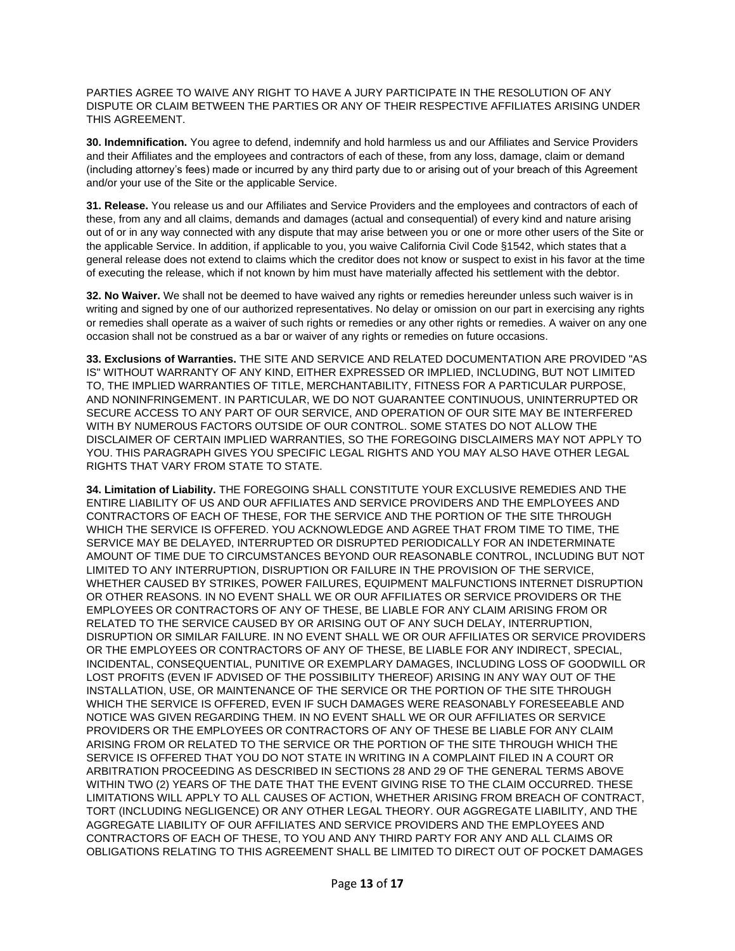PARTIES AGREE TO WAIVE ANY RIGHT TO HAVE A JURY PARTICIPATE IN THE RESOLUTION OF ANY DISPUTE OR CLAIM BETWEEN THE PARTIES OR ANY OF THEIR RESPECTIVE AFFILIATES ARISING UNDER THIS AGREEMENT.

**30. Indemnification.** You agree to defend, indemnify and hold harmless us and our Affiliates and Service Providers and their Affiliates and the employees and contractors of each of these, from any loss, damage, claim or demand (including attorney's fees) made or incurred by any third party due to or arising out of your breach of this Agreement and/or your use of the Site or the applicable Service.

**31. Release.** You release us and our Affiliates and Service Providers and the employees and contractors of each of these, from any and all claims, demands and damages (actual and consequential) of every kind and nature arising out of or in any way connected with any dispute that may arise between you or one or more other users of the Site or the applicable Service. In addition, if applicable to you, you waive California Civil Code §1542, which states that a general release does not extend to claims which the creditor does not know or suspect to exist in his favor at the time of executing the release, which if not known by him must have materially affected his settlement with the debtor.

**32. No Waiver.** We shall not be deemed to have waived any rights or remedies hereunder unless such waiver is in writing and signed by one of our authorized representatives. No delay or omission on our part in exercising any rights or remedies shall operate as a waiver of such rights or remedies or any other rights or remedies. A waiver on any one occasion shall not be construed as a bar or waiver of any rights or remedies on future occasions.

**33. Exclusions of Warranties.** THE SITE AND SERVICE AND RELATED DOCUMENTATION ARE PROVIDED "AS IS" WITHOUT WARRANTY OF ANY KIND, EITHER EXPRESSED OR IMPLIED, INCLUDING, BUT NOT LIMITED TO, THE IMPLIED WARRANTIES OF TITLE, MERCHANTABILITY, FITNESS FOR A PARTICULAR PURPOSE, AND NONINFRINGEMENT. IN PARTICULAR, WE DO NOT GUARANTEE CONTINUOUS, UNINTERRUPTED OR SECURE ACCESS TO ANY PART OF OUR SERVICE, AND OPERATION OF OUR SITE MAY BE INTERFERED WITH BY NUMEROUS FACTORS OUTSIDE OF OUR CONTROL. SOME STATES DO NOT ALLOW THE DISCLAIMER OF CERTAIN IMPLIED WARRANTIES, SO THE FOREGOING DISCLAIMERS MAY NOT APPLY TO YOU. THIS PARAGRAPH GIVES YOU SPECIFIC LEGAL RIGHTS AND YOU MAY ALSO HAVE OTHER LEGAL RIGHTS THAT VARY FROM STATE TO STATE.

**34. Limitation of Liability.** THE FOREGOING SHALL CONSTITUTE YOUR EXCLUSIVE REMEDIES AND THE ENTIRE LIABILITY OF US AND OUR AFFILIATES AND SERVICE PROVIDERS AND THE EMPLOYEES AND CONTRACTORS OF EACH OF THESE, FOR THE SERVICE AND THE PORTION OF THE SITE THROUGH WHICH THE SERVICE IS OFFERED. YOU ACKNOWLEDGE AND AGREE THAT FROM TIME TO TIME, THE SERVICE MAY BE DELAYED, INTERRUPTED OR DISRUPTED PERIODICALLY FOR AN INDETERMINATE AMOUNT OF TIME DUE TO CIRCUMSTANCES BEYOND OUR REASONABLE CONTROL, INCLUDING BUT NOT LIMITED TO ANY INTERRUPTION, DISRUPTION OR FAILURE IN THE PROVISION OF THE SERVICE, WHETHER CAUSED BY STRIKES, POWER FAILURES, EQUIPMENT MALFUNCTIONS INTERNET DISRUPTION OR OTHER REASONS. IN NO EVENT SHALL WE OR OUR AFFILIATES OR SERVICE PROVIDERS OR THE EMPLOYEES OR CONTRACTORS OF ANY OF THESE, BE LIABLE FOR ANY CLAIM ARISING FROM OR RELATED TO THE SERVICE CAUSED BY OR ARISING OUT OF ANY SUCH DELAY, INTERRUPTION, DISRUPTION OR SIMILAR FAILURE. IN NO EVENT SHALL WE OR OUR AFFILIATES OR SERVICE PROVIDERS OR THE EMPLOYEES OR CONTRACTORS OF ANY OF THESE, BE LIABLE FOR ANY INDIRECT, SPECIAL, INCIDENTAL, CONSEQUENTIAL, PUNITIVE OR EXEMPLARY DAMAGES, INCLUDING LOSS OF GOODWILL OR LOST PROFITS (EVEN IF ADVISED OF THE POSSIBILITY THEREOF) ARISING IN ANY WAY OUT OF THE INSTALLATION, USE, OR MAINTENANCE OF THE SERVICE OR THE PORTION OF THE SITE THROUGH WHICH THE SERVICE IS OFFERED, EVEN IF SUCH DAMAGES WERE REASONABLY FORESEEABLE AND NOTICE WAS GIVEN REGARDING THEM. IN NO EVENT SHALL WE OR OUR AFFILIATES OR SERVICE PROVIDERS OR THE EMPLOYEES OR CONTRACTORS OF ANY OF THESE BE LIABLE FOR ANY CLAIM ARISING FROM OR RELATED TO THE SERVICE OR THE PORTION OF THE SITE THROUGH WHICH THE SERVICE IS OFFERED THAT YOU DO NOT STATE IN WRITING IN A COMPLAINT FILED IN A COURT OR ARBITRATION PROCEEDING AS DESCRIBED IN SECTIONS 28 AND 29 OF THE GENERAL TERMS ABOVE WITHIN TWO (2) YEARS OF THE DATE THAT THE EVENT GIVING RISE TO THE CLAIM OCCURRED. THESE LIMITATIONS WILL APPLY TO ALL CAUSES OF ACTION, WHETHER ARISING FROM BREACH OF CONTRACT, TORT (INCLUDING NEGLIGENCE) OR ANY OTHER LEGAL THEORY. OUR AGGREGATE LIABILITY, AND THE AGGREGATE LIABILITY OF OUR AFFILIATES AND SERVICE PROVIDERS AND THE EMPLOYEES AND CONTRACTORS OF EACH OF THESE, TO YOU AND ANY THIRD PARTY FOR ANY AND ALL CLAIMS OR OBLIGATIONS RELATING TO THIS AGREEMENT SHALL BE LIMITED TO DIRECT OUT OF POCKET DAMAGES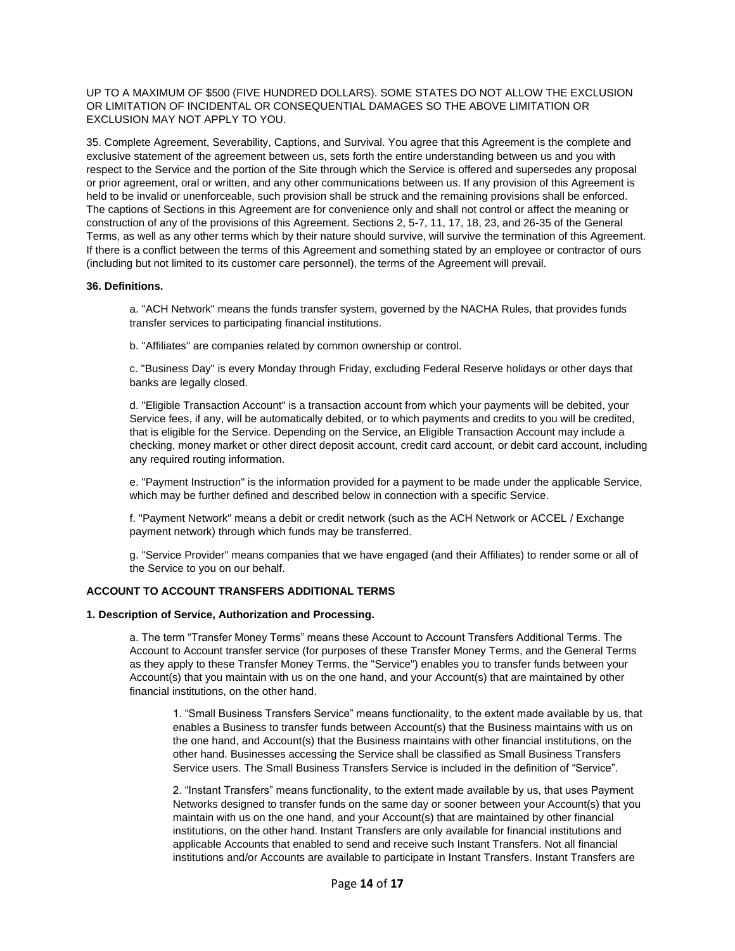UP TO A MAXIMUM OF \$500 (FIVE HUNDRED DOLLARS). SOME STATES DO NOT ALLOW THE EXCLUSION OR LIMITATION OF INCIDENTAL OR CONSEQUENTIAL DAMAGES SO THE ABOVE LIMITATION OR EXCLUSION MAY NOT APPLY TO YOU.

35. Complete Agreement, Severability, Captions, and Survival. You agree that this Agreement is the complete and exclusive statement of the agreement between us, sets forth the entire understanding between us and you with respect to the Service and the portion of the Site through which the Service is offered and supersedes any proposal or prior agreement, oral or written, and any other communications between us. If any provision of this Agreement is held to be invalid or unenforceable, such provision shall be struck and the remaining provisions shall be enforced. The captions of Sections in this Agreement are for convenience only and shall not control or affect the meaning or construction of any of the provisions of this Agreement. Sections 2, 5-7, 11, 17, 18, 23, and 26-35 of the General Terms, as well as any other terms which by their nature should survive, will survive the termination of this Agreement. If there is a conflict between the terms of this Agreement and something stated by an employee or contractor of ours (including but not limited to its customer care personnel), the terms of the Agreement will prevail.

### **36. Definitions.**

a. "ACH Network" means the funds transfer system, governed by the NACHA Rules, that provides funds transfer services to participating financial institutions.

b. "Affiliates" are companies related by common ownership or control.

c. "Business Day" is every Monday through Friday, excluding Federal Reserve holidays or other days that banks are legally closed.

d. "Eligible Transaction Account" is a transaction account from which your payments will be debited, your Service fees, if any, will be automatically debited, or to which payments and credits to you will be credited, that is eligible for the Service. Depending on the Service, an Eligible Transaction Account may include a checking, money market or other direct deposit account, credit card account, or debit card account, including any required routing information.

e. "Payment Instruction" is the information provided for a payment to be made under the applicable Service, which may be further defined and described below in connection with a specific Service.

f. "Payment Network" means a debit or credit network (such as the ACH Network or ACCEL / Exchange payment network) through which funds may be transferred.

g. "Service Provider" means companies that we have engaged (and their Affiliates) to render some or all of the Service to you on our behalf.

### **ACCOUNT TO ACCOUNT TRANSFERS ADDITIONAL TERMS**

### **1. Description of Service, Authorization and Processing.**

a. The term "Transfer Money Terms" means these Account to Account Transfers Additional Terms. The Account to Account transfer service (for purposes of these Transfer Money Terms, and the General Terms as they apply to these Transfer Money Terms, the "Service") enables you to transfer funds between your Account(s) that you maintain with us on the one hand, and your Account(s) that are maintained by other financial institutions, on the other hand.

1. "Small Business Transfers Service" means functionality, to the extent made available by us, that enables a Business to transfer funds between Account(s) that the Business maintains with us on the one hand, and Account(s) that the Business maintains with other financial institutions, on the other hand. Businesses accessing the Service shall be classified as Small Business Transfers Service users. The Small Business Transfers Service is included in the definition of "Service".

2. "Instant Transfers" means functionality, to the extent made available by us, that uses Payment Networks designed to transfer funds on the same day or sooner between your Account(s) that you maintain with us on the one hand, and your Account(s) that are maintained by other financial institutions, on the other hand. Instant Transfers are only available for financial institutions and applicable Accounts that enabled to send and receive such Instant Transfers. Not all financial institutions and/or Accounts are available to participate in Instant Transfers. Instant Transfers are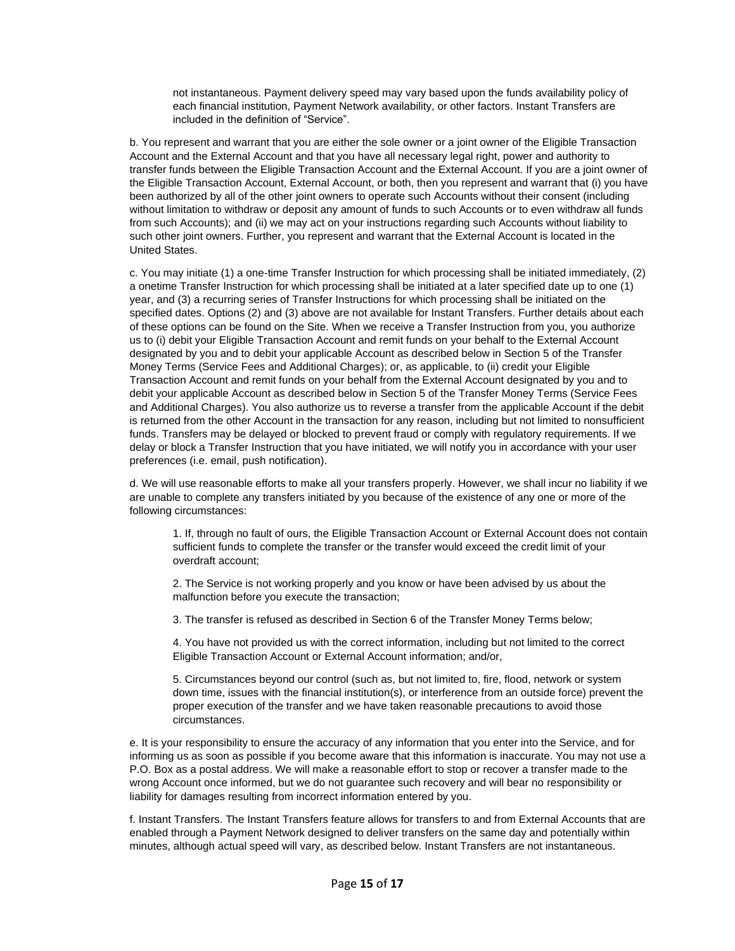not instantaneous. Payment delivery speed may vary based upon the funds availability policy of each financial institution, Payment Network availability, or other factors. Instant Transfers are included in the definition of "Service".

b. You represent and warrant that you are either the sole owner or a joint owner of the Eligible Transaction Account and the External Account and that you have all necessary legal right, power and authority to transfer funds between the Eligible Transaction Account and the External Account. If you are a joint owner of the Eligible Transaction Account, External Account, or both, then you represent and warrant that (i) you have been authorized by all of the other joint owners to operate such Accounts without their consent (including without limitation to withdraw or deposit any amount of funds to such Accounts or to even withdraw all funds from such Accounts); and (ii) we may act on your instructions regarding such Accounts without liability to such other joint owners. Further, you represent and warrant that the External Account is located in the United States.

c. You may initiate (1) a one-time Transfer Instruction for which processing shall be initiated immediately, (2) a onetime Transfer Instruction for which processing shall be initiated at a later specified date up to one (1) year, and (3) a recurring series of Transfer Instructions for which processing shall be initiated on the specified dates. Options (2) and (3) above are not available for Instant Transfers. Further details about each of these options can be found on the Site. When we receive a Transfer Instruction from you, you authorize us to (i) debit your Eligible Transaction Account and remit funds on your behalf to the External Account designated by you and to debit your applicable Account as described below in Section 5 of the Transfer Money Terms (Service Fees and Additional Charges); or, as applicable, to (ii) credit your Eligible Transaction Account and remit funds on your behalf from the External Account designated by you and to debit your applicable Account as described below in Section 5 of the Transfer Money Terms (Service Fees and Additional Charges). You also authorize us to reverse a transfer from the applicable Account if the debit is returned from the other Account in the transaction for any reason, including but not limited to nonsufficient funds. Transfers may be delayed or blocked to prevent fraud or comply with regulatory requirements. If we delay or block a Transfer Instruction that you have initiated, we will notify you in accordance with your user preferences (i.e. email, push notification).

d. We will use reasonable efforts to make all your transfers properly. However, we shall incur no liability if we are unable to complete any transfers initiated by you because of the existence of any one or more of the following circumstances:

1. If, through no fault of ours, the Eligible Transaction Account or External Account does not contain sufficient funds to complete the transfer or the transfer would exceed the credit limit of your overdraft account;

2. The Service is not working properly and you know or have been advised by us about the malfunction before you execute the transaction;

3. The transfer is refused as described in Section 6 of the Transfer Money Terms below;

4. You have not provided us with the correct information, including but not limited to the correct Eligible Transaction Account or External Account information; and/or,

5. Circumstances beyond our control (such as, but not limited to, fire, flood, network or system down time, issues with the financial institution(s), or interference from an outside force) prevent the proper execution of the transfer and we have taken reasonable precautions to avoid those circumstances.

e. It is your responsibility to ensure the accuracy of any information that you enter into the Service, and for informing us as soon as possible if you become aware that this information is inaccurate. You may not use a P.O. Box as a postal address. We will make a reasonable effort to stop or recover a transfer made to the wrong Account once informed, but we do not guarantee such recovery and will bear no responsibility or liability for damages resulting from incorrect information entered by you.

f. Instant Transfers. The Instant Transfers feature allows for transfers to and from External Accounts that are enabled through a Payment Network designed to deliver transfers on the same day and potentially within minutes, although actual speed will vary, as described below. Instant Transfers are not instantaneous.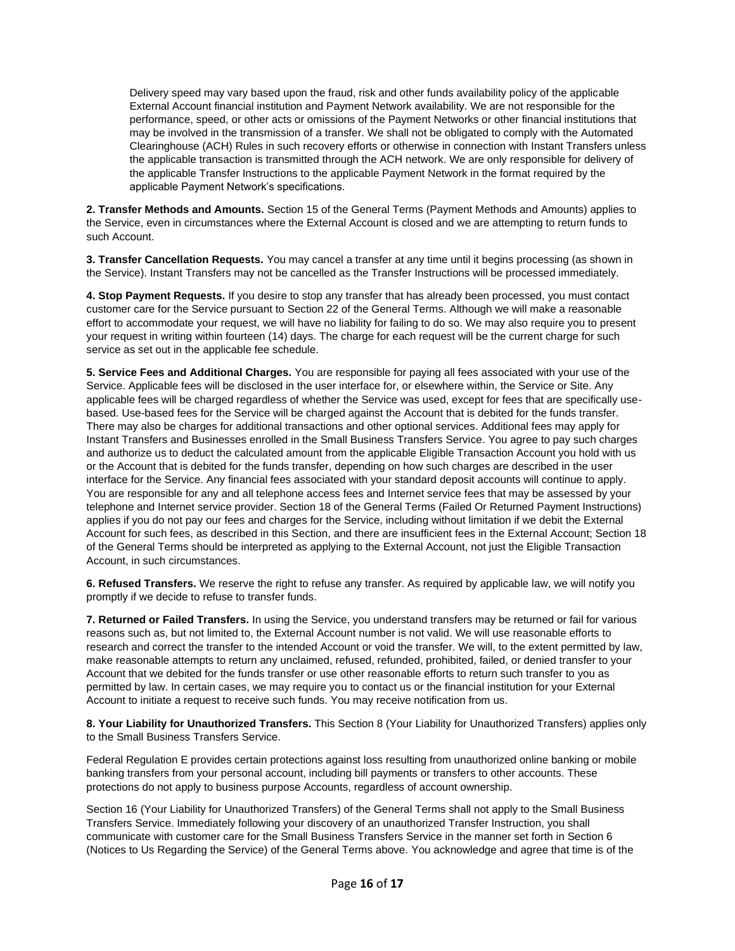Delivery speed may vary based upon the fraud, risk and other funds availability policy of the applicable External Account financial institution and Payment Network availability. We are not responsible for the performance, speed, or other acts or omissions of the Payment Networks or other financial institutions that may be involved in the transmission of a transfer. We shall not be obligated to comply with the Automated Clearinghouse (ACH) Rules in such recovery efforts or otherwise in connection with Instant Transfers unless the applicable transaction is transmitted through the ACH network. We are only responsible for delivery of the applicable Transfer Instructions to the applicable Payment Network in the format required by the applicable Payment Network's specifications.

**2. Transfer Methods and Amounts.** Section 15 of the General Terms (Payment Methods and Amounts) applies to the Service, even in circumstances where the External Account is closed and we are attempting to return funds to such Account.

**3. Transfer Cancellation Requests.** You may cancel a transfer at any time until it begins processing (as shown in the Service). Instant Transfers may not be cancelled as the Transfer Instructions will be processed immediately.

**4. Stop Payment Requests.** If you desire to stop any transfer that has already been processed, you must contact customer care for the Service pursuant to Section 22 of the General Terms. Although we will make a reasonable effort to accommodate your request, we will have no liability for failing to do so. We may also require you to present your request in writing within fourteen (14) days. The charge for each request will be the current charge for such service as set out in the applicable fee schedule.

**5. Service Fees and Additional Charges.** You are responsible for paying all fees associated with your use of the Service. Applicable fees will be disclosed in the user interface for, or elsewhere within, the Service or Site. Any applicable fees will be charged regardless of whether the Service was used, except for fees that are specifically usebased. Use-based fees for the Service will be charged against the Account that is debited for the funds transfer. There may also be charges for additional transactions and other optional services. Additional fees may apply for Instant Transfers and Businesses enrolled in the Small Business Transfers Service. You agree to pay such charges and authorize us to deduct the calculated amount from the applicable Eligible Transaction Account you hold with us or the Account that is debited for the funds transfer, depending on how such charges are described in the user interface for the Service. Any financial fees associated with your standard deposit accounts will continue to apply. You are responsible for any and all telephone access fees and Internet service fees that may be assessed by your telephone and Internet service provider. Section 18 of the General Terms (Failed Or Returned Payment Instructions) applies if you do not pay our fees and charges for the Service, including without limitation if we debit the External Account for such fees, as described in this Section, and there are insufficient fees in the External Account; Section 18 of the General Terms should be interpreted as applying to the External Account, not just the Eligible Transaction Account, in such circumstances.

**6. Refused Transfers.** We reserve the right to refuse any transfer. As required by applicable law, we will notify you promptly if we decide to refuse to transfer funds.

**7. Returned or Failed Transfers.** In using the Service, you understand transfers may be returned or fail for various reasons such as, but not limited to, the External Account number is not valid. We will use reasonable efforts to research and correct the transfer to the intended Account or void the transfer. We will, to the extent permitted by law, make reasonable attempts to return any unclaimed, refused, refunded, prohibited, failed, or denied transfer to your Account that we debited for the funds transfer or use other reasonable efforts to return such transfer to you as permitted by law. In certain cases, we may require you to contact us or the financial institution for your External Account to initiate a request to receive such funds. You may receive notification from us.

**8. Your Liability for Unauthorized Transfers.** This Section 8 (Your Liability for Unauthorized Transfers) applies only to the Small Business Transfers Service.

Federal Regulation E provides certain protections against loss resulting from unauthorized online banking or mobile banking transfers from your personal account, including bill payments or transfers to other accounts. These protections do not apply to business purpose Accounts, regardless of account ownership.

Section 16 (Your Liability for Unauthorized Transfers) of the General Terms shall not apply to the Small Business Transfers Service. Immediately following your discovery of an unauthorized Transfer Instruction, you shall communicate with customer care for the Small Business Transfers Service in the manner set forth in Section 6 (Notices to Us Regarding the Service) of the General Terms above. You acknowledge and agree that time is of the